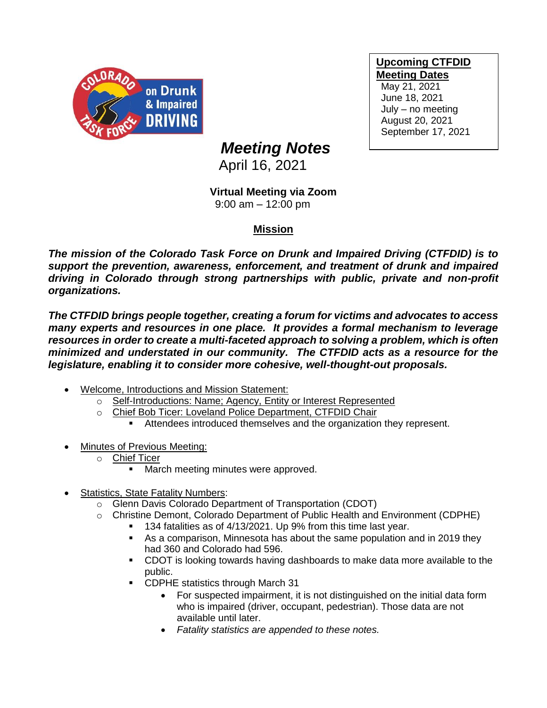

**Upcoming CTFDID Meeting Dates**

May 21, 2021 June 18, 2021 July – no meeting August 20, 2021 September 17, 2021

## *Meeting Notes*

April 16, 2021

## **Virtual Meeting via Zoom**

9:00 am – 12:00 pm

## **Mission**

*The mission of the Colorado Task Force on Drunk and Impaired Driving (CTFDID) is to support the prevention, awareness, enforcement, and treatment of drunk and impaired driving in Colorado through strong partnerships with public, private and non-profit organizations.* 

*The CTFDID brings people together, creating a forum for victims and advocates to access many experts and resources in one place. It provides a formal mechanism to leverage*  resources in order to create a multi-faceted approach to solving a problem, which is often *minimized and understated in our community. The CTFDID acts as a resource for the legislature, enabling it to consider more cohesive, well-thought-out proposals.* 

- Welcome, Introductions and Mission Statement:
	- o Self-Introductions: Name; Agency, Entity or Interest Represented
	- o Chief Bob Ticer: Loveland Police Department, CTFDID Chair
		- Attendees introduced themselves and the organization they represent.
- Minutes of Previous Meeting:
	- o Chief Ticer
		- March meeting minutes were approved.
- Statistics, State Fatality Numbers:
	- o Glenn Davis Colorado Department of Transportation (CDOT)
	- o Christine Demont, Colorado Department of Public Health and Environment (CDPHE)
		- 134 fatalities as of 4/13/2021. Up 9% from this time last year.
			- As a comparison, Minnesota has about the same population and in 2019 they had 360 and Colorado had 596.
			- CDOT is looking towards having dashboards to make data more available to the public.
			- CDPHE statistics through March 31
				- For suspected impairment, it is not distinguished on the initial data form who is impaired (driver, occupant, pedestrian). Those data are not available until later.
				- *Fatality statistics are appended to these notes.*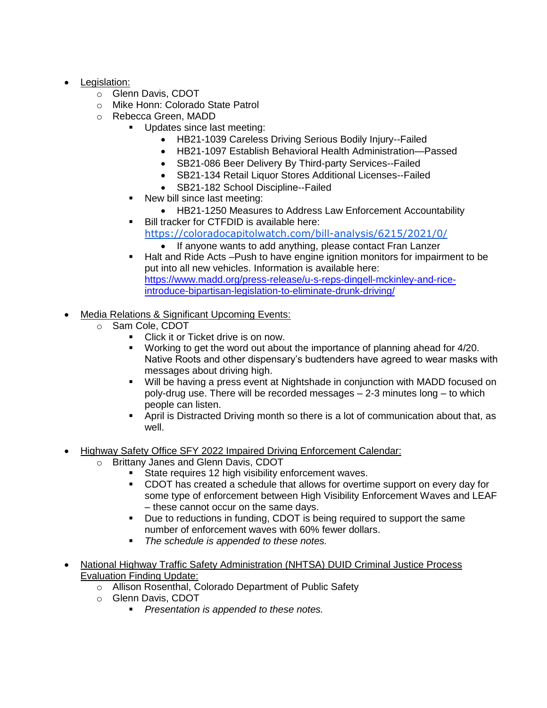- Legislation:
	- o Glenn Davis, CDOT
	- o Mike Honn: Colorado State Patrol
	- o Rebecca Green, MADD
		- **■** Updates since last meeting:
			- HB21-1039 Careless Driving Serious Bodily Injury--Failed
			- HB21-1097 Establish Behavioral Health Administration—Passed
			- SB21-086 Beer Delivery By Third-party Services--Failed
			- SB21-134 Retail Liquor Stores Additional Licenses--Failed
			- SB21-182 School Discipline--Failed
		- New bill since last meeting:
			- HB21-1250 Measures to Address Law Enforcement Accountability
		- Bill tracker for CTFDID is available here: [https://coloradocapitolwatch.com/bill-analysis/6215/2021/0/](https://urldefense.com/v3/__https:/coloradocapitolwatch.com/bill-analysis/6215/2021/0/__;!!PUG2raq7KiCZwBk!KR_77sg-flRJe7nG4cNmtejqXbJZBnrMkRbikiA5iHTTo-GrCy2quKTaS-MuRwQD2TlVhw$)
			- If anyone wants to add anything, please contact Fran Lanzer
		- Halt and Ride Acts –Push to have engine ignition monitors for impairment to be put into all new vehicles. Information is available here: [https://www.madd.org/press-release/u-s-reps-dingell-mckinley-and-rice](https://www.madd.org/press-release/u-s-reps-dingell-mckinley-and-rice-introduce-bipartisan-legislation-to-eliminate-drunk-driving/)[introduce-bipartisan-legislation-to-eliminate-drunk-driving/](https://www.madd.org/press-release/u-s-reps-dingell-mckinley-and-rice-introduce-bipartisan-legislation-to-eliminate-drunk-driving/)

## Media Relations & Significant Upcoming Events:

- o Sam Cole, CDOT
	- Click it or Ticket drive is on now.
	- Working to get the word out about the importance of planning ahead for 4/20. Native Roots and other dispensary's budtenders have agreed to wear masks with messages about driving high.
	- Will be having a press event at Nightshade in conjunction with MADD focused on poly-drug use. There will be recorded messages – 2-3 minutes long – to which people can listen.
	- **•** April is Distracted Driving month so there is a lot of communication about that, as well.
- Highway Safety Office SFY 2022 Impaired Driving Enforcement Calendar:
	- o Brittany Janes and Glenn Davis, CDOT
		- State requires 12 high visibility enforcement waves.
		- CDOT has created a schedule that allows for overtime support on every day for some type of enforcement between High Visibility Enforcement Waves and LEAF – these cannot occur on the same days.
		- Due to reductions in funding, CDOT is being required to support the same number of enforcement waves with 60% fewer dollars.
		- *The schedule is appended to these notes.*
- National Highway Traffic Safety Administration (NHTSA) DUID Criminal Justice Process Evaluation Finding Update:
	- o Allison Rosenthal, Colorado Department of Public Safety
	- o Glenn Davis, CDOT
		- *Presentation is appended to these notes.*